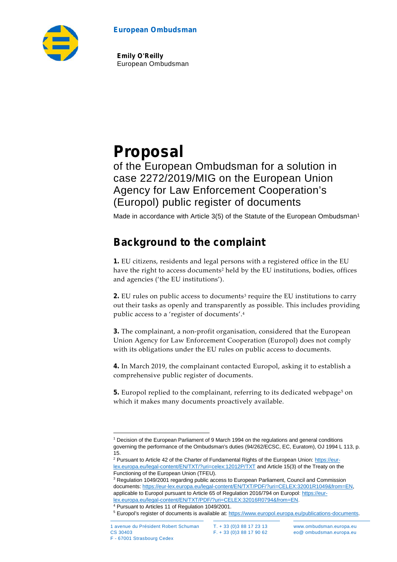#### **European Ombudsman**



**Emily O'Reilly** European Ombudsman

# **Proposal**

of the European Ombudsman for a solution in case 2272/2019/MIG on the European Union Agency for Law Enforcement Cooperation's (Europol) public register of documents

Made in accordance with Article 3(5) of the Statute of the European Ombudsman<sup>1</sup>

# **Background to the complaint**

**1.** EU citizens, residents and legal persons with a registered office in the EU have the right to access documents<sup>2</sup> held by the EU institutions, bodies, offices and agencies ('the EU institutions').

**2.** EU rules on public access to documents<sup>3</sup> require the EU institutions to carry out their tasks as openly and transparently as possible. This includes providing public access to a 'register of documents'.<sup>4</sup>

**3.** The complainant, a non-profit organisation, considered that the European Union Agency for Law Enforcement Cooperation (Europol) does not comply with its obligations under the EU rules on public access to documents.

**4.** In March 2019, the complainant contacted Europol, asking it to establish a comprehensive public register of documents.

**5.** Europol replied to the complainant, referring to its dedicated webpage<sup>5</sup> on which it makes many documents proactively available.

<sup>1</sup> Decision of the European Parliament of 9 March 1994 on the regulations and general conditions governing the performance of the Ombudsman's duties (94/262/ECSC, EC, Euratom), OJ 1994 L 113, p. 15.

<sup>&</sup>lt;sup>2</sup> Pursuant to Article 42 of the Charter of Fundamental Rights of the European Union: https://eurlex.europa.eu/legal-content/EN/TXT/?uri=celex:12012P/TXT and Article 15(3) of the Treaty on the Functioning of the European Union (TFEU).

<sup>&</sup>lt;sup>3</sup> Regulation 1049/2001 regarding public access to European Parliament, Council and Commission documents: https://eur-lex.europa.eu/legal-content/EN/TXT/PDF/?uri=CELEX:32001R1049&from=EN, applicable to Europol pursuant to Article 65 of Regulation 2016/794 on Europol: https://eurlex.europa.eu/legal-content/EN/TXT/PDF/?uri=CELEX:32016R0794&from=EN.

<sup>4</sup> Pursuant to Articles 11 of Regulation 1049/2001.

<sup>5</sup> Europol's register of documents is available at: https://www.europol.europa.eu/publications-documents.

F - 67001 Strasbourg Cedex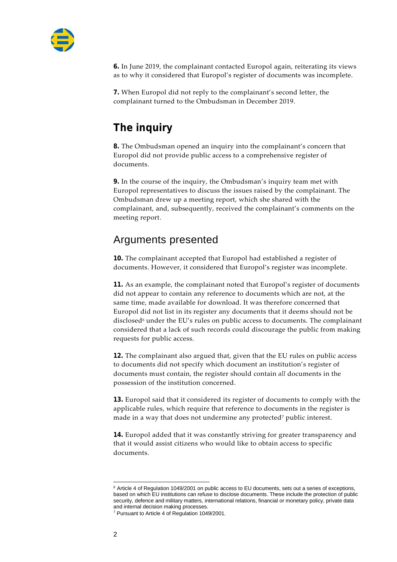

**6.** In June 2019, the complainant contacted Europol again, reiterating its views as to why it considered that Europol's register of documents was incomplete.

**7.** When Europol did not reply to the complainant's second letter, the complainant turned to the Ombudsman in December 2019.

# **The inquiry**

**8.** The Ombudsman opened an inquiry into the complainant's concern that Europol did not provide public access to a comprehensive register of documents.

**9.** In the course of the inquiry, the Ombudsman's inquiry team met with Europol representatives to discuss the issues raised by the complainant. The Ombudsman drew up a meeting report, which she shared with the complainant, and, subsequently, received the complainant's comments on the meeting report.

#### Arguments presented

**10.** The complainant accepted that Europol had established a register of documents. However, it considered that Europol's register was incomplete.

**11.** As an example, the complainant noted that Europol's register of documents did not appear to contain any reference to documents which are not, at the same time, made available for download. It was therefore concerned that Europol did not list in its register any documents that it deems should not be disclosed<sup>6</sup> under the EU's rules on public access to documents. The complainant considered that a lack of such records could discourage the public from making requests for public access.

**12.** The complainant also argued that, given that the EU rules on public access to documents did not specify which document an institution's register of documents must contain, the register should contain *all* documents in the possession of the institution concerned.

**13.** Europol said that it considered its register of documents to comply with the applicable rules, which require that reference to documents in the register is made in a way that does not undermine any protected<sup>7</sup> public interest.

**14.** Europol added that it was constantly striving for greater transparency and that it would assist citizens who would like to obtain access to specific documents.

<sup>6</sup> Article 4 of Regulation 1049/2001 on public access to EU documents, sets out a series of exceptions, based on which EU institutions can refuse to disclose documents. These include the protection of public security, defence and military matters, international relations, financial or monetary policy, private data and internal decision making processes.

<sup>7</sup> Pursuant to Article 4 of Regulation 1049/2001.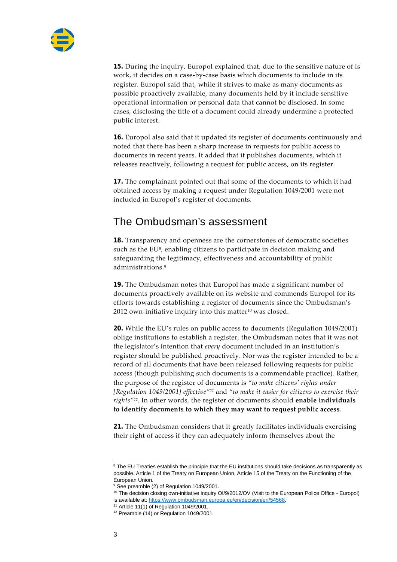

**15.** During the inquiry, Europol explained that, due to the sensitive nature of is work, it decides on a case-by-case basis which documents to include in its register. Europol said that, while it strives to make as many documents as possible proactively available, many documents held by it include sensitive operational information or personal data that cannot be disclosed. In some cases, disclosing the title of a document could already undermine a protected public interest.

**16.** Europol also said that it updated its register of documents continuously and noted that there has been a sharp increase in requests for public access to documents in recent years. It added that it publishes documents, which it releases reactively, following a request for public access, on its register.

**17.** The complainant pointed out that some of the documents to which it had obtained access by making a request under Regulation 1049/2001 were not included in Europol's register of documents.

#### The Ombudsman's assessment

**18.** Transparency and openness are the cornerstones of democratic societies such as the EU<sup>8</sup>, enabling citizens to participate in decision making and safeguarding the legitimacy, effectiveness and accountability of public administrations.<sup>9</sup>

**19.** The Ombudsman notes that Europol has made a significant number of documents proactively available on its website and commends Europol for its efforts towards establishing a register of documents since the Ombudsman's  $2012$  own-initiative inquiry into this matter<sup>10</sup> was closed.

**20.** While the EU's rules on public access to documents (Regulation 1049/2001) oblige institutions to establish a register, the Ombudsman notes that it was not the legislator's intention that *every* document included in an institution's register should be published proactively. Nor was the register intended to be a record of all documents that have been released following requests for public access (though publishing such documents is a commendable practice). Rather, the purpose of the register of documents is *"to make citizens' rights under [Regulation 1049/2001] effective"<sup>11</sup>* and *"to make it easier for citizens to exercise their rights"<sup>12</sup>* . In other words, the register of documents should **enable individuals to identify documents to which they may want to request public access**.

**21.** The Ombudsman considers that it greatly facilitates individuals exercising their right of access if they can adequately inform themselves about the

<sup>10</sup> The decision closing own-initiative inquiry OI/9/2012/OV (Visit to the European Police Office - Europol) is available at: https://www.ombudsman.europa.eu/en/decision/en/54568.

<sup>&</sup>lt;sup>8</sup> The EU Treaties establish the principle that the EU institutions should take decisions as transparently as possible. Article 1 of the Treaty on European Union, Article 15 of the Treaty on the Functioning of the European Union.

<sup>&</sup>lt;sup>9</sup> See preamble (2) of Regulation 1049/2001.

<sup>11</sup> Article 11(1) of Regulation 1049/2001.

<sup>&</sup>lt;sup>12</sup> Preamble (14) or Regulation 1049/2001.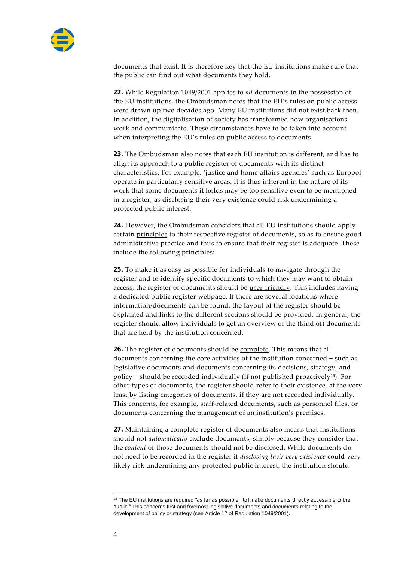

documents that exist. It is therefore key that the EU institutions make sure that the public can find out what documents they hold.

**22.** While Regulation 1049/2001 applies to *all* documents in the possession of the EU institutions, the Ombudsman notes that the EU's rules on public access were drawn up two decades ago. Many EU institutions did not exist back then. In addition, the digitalisation of society has transformed how organisations work and communicate. These circumstances have to be taken into account when interpreting the EU's rules on public access to documents.

**23.** The Ombudsman also notes that each EU institution is different, and has to align its approach to a public register of documents with its distinct characteristics. For example, 'justice and home affairs agencies' such as Europol operate in particularly sensitive areas. It is thus inherent in the nature of its work that some documents it holds may be too sensitive even to be mentioned in a register, as disclosing their very existence could risk undermining a protected public interest.

**24.** However, the Ombudsman considers that all EU institutions should apply certain principles to their respective register of documents, so as to ensure good administrative practice and thus to ensure that their register is adequate. These include the following principles:

**25.** To make it as easy as possible for individuals to navigate through the register and to identify specific documents to which they may want to obtain access, the register of documents should be user-friendly. This includes having a dedicated public register webpage. If there are several locations where information/documents can be found, the layout of the register should be explained and links to the different sections should be provided. In general, the register should allow individuals to get an overview of the (kind of) documents that are held by the institution concerned.

**26.** The register of documents should be complete. This means that all documents concerning the core activities of the institution concerned − such as legislative documents and documents concerning its decisions, strategy, and policy − should be recorded individually (if not published proactively13). For other types of documents, the register should refer to their existence, at the very least by listing categories of documents, if they are not recorded individually. This concerns, for example, staff-related documents, such as personnel files, or documents concerning the management of an institution's premises.

**27.** Maintaining a complete register of documents also means that institutions should not *automatically* exclude documents, simply because they consider that the *content* of those documents should not be disclosed. While documents do not need to be recorded in the register if *disclosing their very existence* could very likely risk undermining any protected public interest, the institution should

<sup>13</sup> The EU institutions are required *"as far as possible, [to] make documents directly accessible to the public."* This concerns first and foremost legislative documents and documents relating to the development of policy or strategy (see Article 12 of Regulation 1049/2001).